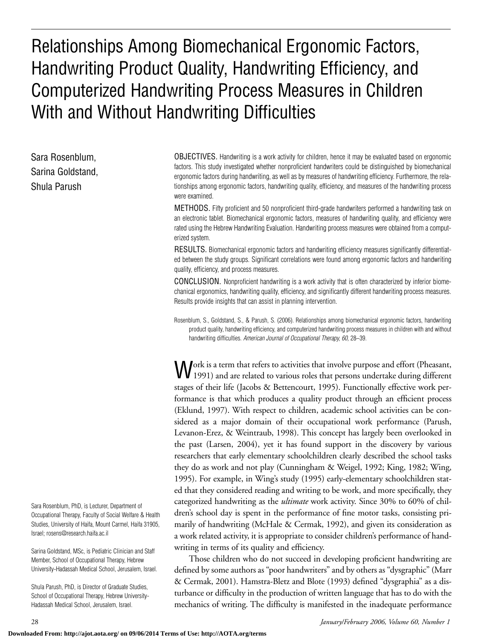# Relationships Among Biomechanical Ergonomic Factors, Handwriting Product Quality, Handwriting Efficiency, and Computerized Handwriting Process Measures in Children With and Without Handwriting Difficulties

Sara Rosenblum, Sarina Goldstand, Shula Parush

OBJECTIVES. Handwriting is a work activity for children, hence it may be evaluated based on ergonomic factors. This study investigated whether nonproficient handwriters could be distinguished by biomechanical ergonomic factors during handwriting, as well as by measures of handwriting efficiency. Furthermore, the relationships among ergonomic factors, handwriting quality, efficiency, and measures of the handwriting process were examined.

METHODS. Fifty proficient and 50 nonproficient third-grade handwriters performed a handwriting task on an electronic tablet. Biomechanical ergonomic factors, measures of handwriting quality, and efficiency were rated using the Hebrew Handwriting Evaluation. Handwriting process measures were obtained from a computerized system.

RESULTS. Biomechanical ergonomic factors and handwriting efficiency measures significantly differentiated between the study groups. Significant correlations were found among ergonomic factors and handwriting quality, efficiency, and process measures.

CONCLUSION. Nonproficient handwriting is a work activity that is often characterized by inferior biomechanical ergonomics, handwriting quality, efficiency, and significantly different handwriting process measures. Results provide insights that can assist in planning intervention.

Rosenblum, S., Goldstand, S., & Parush, S. (2006). Relationships among biomechanical ergonomic factors, handwriting product quality, handwriting efficiency, and computerized handwriting process measures in children with and without handwriting difficulties. *American Journal of Occupational Therapy, 60,* 28–39.

Work is a term that refers to activities that involve purpose and effort (Pheasant, 1991) and are related to various roles that persons undertake during different stages of their life (Jacobs & Bettencourt, 1995). Functionally effective work performance is that which produces a quality product through an efficient process (Eklund, 1997). With respect to children, academic school activities can be considered as a major domain of their occupational work performance (Parush, Levanon-Erez, & Weintraub, 1998). This concept has largely been overlooked in the past (Larsen, 2004), yet it has found support in the discovery by various researchers that early elementary schoolchildren clearly described the school tasks they do as work and not play (Cunningham & Weigel, 1992; King, 1982; Wing, 1995). For example, in Wing's study (1995) early-elementary schoolchildren stated that they considered reading and writing to be work, and more specifically, they categorized handwriting as the *ultimate* work activity. Since 30% to 60% of children's school day is spent in the performance of fine motor tasks, consisting primarily of handwriting (McHale & Cermak, 1992), and given its consideration as a work related activity, it is appropriate to consider children's performance of handwriting in terms of its quality and efficiency.

Those children who do not succeed in developing proficient handwriting are defined by some authors as "poor handwriters" and by others as "dysgraphic" (Marr & Cermak, 2001). Hamstra-Bletz and Blote (1993) defined "dysgraphia" as a disturbance or difficulty in the production of written language that has to do with the mechanics of writing. The difficulty is manifested in the inadequate performance

Sara Rosenblum, PhD, is Lecturer, Department of Occupational Therapy, Faculty of Social Welfare & Health Studies, University of Haifa, Mount Carmel, Haifa 31905, Israel; rosens@research.haifa.ac.il

Sarina Goldstand, MSc, is Pediatric Clinician and Staff Member, School of Occupational Therapy, Hebrew University-Hadassah Medical School, Jerusalem, Israel.

Shula Parush, PhD, is Director of Graduate Studies, School of Occupational Therapy, Hebrew University-Hadassah Medical School, Jerusalem, Israel.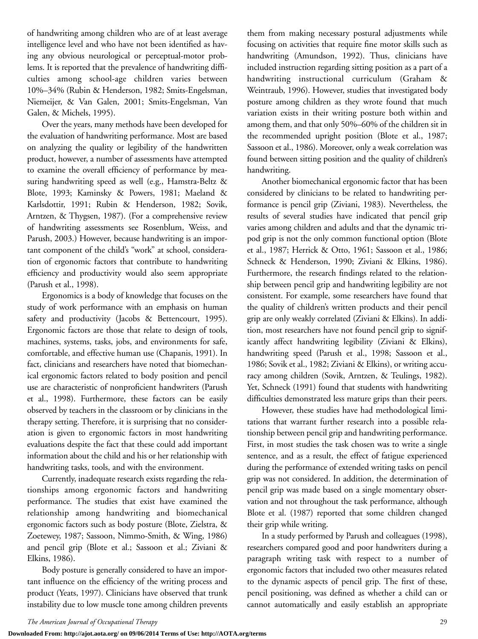of handwriting among children who are of at least average intelligence level and who have not been identified as having any obvious neurological or perceptual-motor problems. It is reported that the prevalence of handwriting difficulties among school-age children varies between 10%–34% (Rubin & Henderson, 1982; Smits-Engelsman, Niemeijer, & Van Galen, 2001; Smits-Engelsman, Van Galen, & Michels, 1995).

Over the years, many methods have been developed for the evaluation of handwriting performance. Most are based on analyzing the quality or legibility of the handwritten product, however, a number of assessments have attempted to examine the overall efficiency of performance by measuring handwriting speed as well (e.g., Hamstra-Beltz & Blote, 1993; Kaminsky & Powers, 1981; Maeland & Karlsdottir, 1991; Rubin & Henderson, 1982; Sovik, Arntzen, & Thygsen, 1987). (For a comprehensive review of handwriting assessments see Rosenblum, Weiss, and Parush, 2003.) However, because handwriting is an important component of the child's "work" at school, consideration of ergonomic factors that contribute to handwriting efficiency and productivity would also seem appropriate (Parush et al., 1998).

Ergonomics is a body of knowledge that focuses on the study of work performance with an emphasis on human safety and productivity (Jacobs & Bettencourt, 1995). Ergonomic factors are those that relate to design of tools, machines, systems, tasks, jobs, and environments for safe, comfortable, and effective human use (Chapanis, 1991). In fact, clinicians and researchers have noted that biomechanical ergonomic factors related to body position and pencil use are characteristic of nonproficient handwriters (Parush et al., 1998). Furthermore, these factors can be easily observed by teachers in the classroom or by clinicians in the therapy setting. Therefore, it is surprising that no consideration is given to ergonomic factors in most handwriting evaluations despite the fact that these could add important information about the child and his or her relationship with handwriting tasks, tools, and with the environment.

Currently, inadequate research exists regarding the relationships among ergonomic factors and handwriting performance. The studies that exist have examined the relationship among handwriting and biomechanical ergonomic factors such as body posture (Blote, Zielstra, & Zoetewey, 1987; Sassoon, Nimmo-Smith, & Wing, 1986) and pencil grip (Blote et al.; Sassoon et al.; Ziviani & Elkins, 1986).

Body posture is generally considered to have an important influence on the efficiency of the writing process and product (Yeats, 1997). Clinicians have observed that trunk instability due to low muscle tone among children prevents them from making necessary postural adjustments while focusing on activities that require fine motor skills such as handwriting (Amundson, 1992). Thus, clinicians have included instruction regarding sitting position as a part of a handwriting instructional curriculum (Graham & Weintraub, 1996). However, studies that investigated body posture among children as they wrote found that much variation exists in their writing posture both within and among them, and that only 50%–60% of the children sit in the recommended upright position (Blote et al., 1987; Sassoon et al., 1986). Moreover, only a weak correlation was found between sitting position and the quality of children's handwriting.

Another biomechanical ergonomic factor that has been considered by clinicians to be related to handwriting performance is pencil grip (Ziviani, 1983). Nevertheless, the results of several studies have indicated that pencil grip varies among children and adults and that the dynamic tripod grip is not the only common functional option (Blote et al., 1987; Herrick & Otto, 1961; Sassoon et al., 1986; Schneck & Henderson, 1990; Ziviani & Elkins, 1986). Furthermore, the research findings related to the relationship between pencil grip and handwriting legibility are not consistent. For example, some researchers have found that the quality of children's written products and their pencil grip are only weakly correlated (Ziviani & Elkins). In addition, most researchers have not found pencil grip to significantly affect handwriting legibility (Ziviani & Elkins), handwriting speed (Parush et al., 1998; Sassoon et al., 1986; Sovik et al., 1982; Ziviani & Elkins), or writing accuracy among children (Sovik, Arntzen, & Teulings, 1982). Yet, Schneck (1991) found that students with handwriting difficulties demonstrated less mature grips than their peers.

However, these studies have had methodological limitations that warrant further research into a possible relationship between pencil grip and handwriting performance. First, in most studies the task chosen was to write a single sentence, and as a result, the effect of fatigue experienced during the performance of extended writing tasks on pencil grip was not considered. In addition, the determination of pencil grip was made based on a single momentary observation and not throughout the task performance, although Blote et al. (1987) reported that some children changed their grip while writing.

In a study performed by Parush and colleagues (1998), researchers compared good and poor handwriters during a paragraph writing task with respect to a number of ergonomic factors that included two other measures related to the dynamic aspects of pencil grip. The first of these, pencil positioning, was defined as whether a child can or cannot automatically and easily establish an appropriate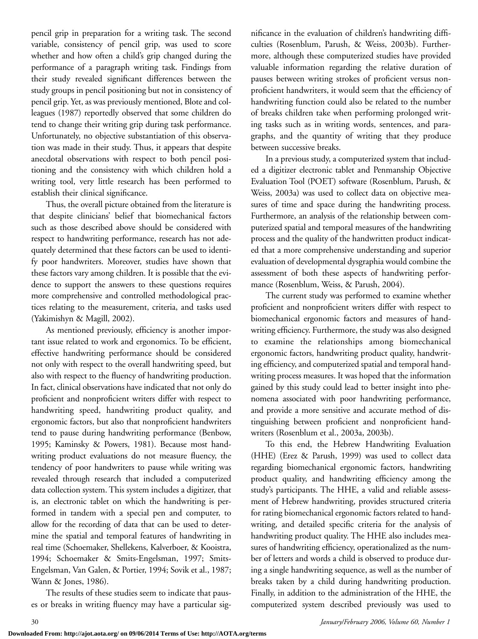pencil grip in preparation for a writing task. The second variable, consistency of pencil grip, was used to score whether and how often a child's grip changed during the performance of a paragraph writing task. Findings from their study revealed significant differences between the study groups in pencil positioning but not in consistency of pencil grip. Yet, as was previously mentioned, Blote and colleagues (1987) reportedly observed that some children do tend to change their writing grip during task performance. Unfortunately, no objective substantiation of this observation was made in their study. Thus, it appears that despite anecdotal observations with respect to both pencil positioning and the consistency with which children hold a writing tool, very little research has been performed to establish their clinical significance.

Thus, the overall picture obtained from the literature is that despite clinicians' belief that biomechanical factors such as those described above should be considered with respect to handwriting performance, research has not adequately determined that these factors can be used to identify poor handwriters. Moreover, studies have shown that these factors vary among children. It is possible that the evidence to support the answers to these questions requires more comprehensive and controlled methodological practices relating to the measurement, criteria, and tasks used (Yakimishyn & Magill, 2002).

As mentioned previously, efficiency is another important issue related to work and ergonomics. To be efficient, effective handwriting performance should be considered not only with respect to the overall handwriting speed, but also with respect to the fluency of handwriting production. In fact, clinical observations have indicated that not only do proficient and nonproficient writers differ with respect to handwriting speed, handwriting product quality, and ergonomic factors, but also that nonproficient handwriters tend to pause during handwriting performance (Benbow, 1995; Kaminsky & Powers, 1981). Because most handwriting product evaluations do not measure fluency, the tendency of poor handwriters to pause while writing was revealed through research that included a computerized data collection system. This system includes a digitizer, that is, an electronic tablet on which the handwriting is performed in tandem with a special pen and computer, to allow for the recording of data that can be used to determine the spatial and temporal features of handwriting in real time (Schoemaker, Shellekens, Kalverboer, & Kooistra, 1994; Schoemaker & Smits-Engelsman, 1997; Smits-Engelsman, Van Galen, & Portier, 1994; Sovik et al., 1987; Wann & Jones, 1986).

The results of these studies seem to indicate that pauses or breaks in writing fluency may have a particular significance in the evaluation of children's handwriting difficulties (Rosenblum, Parush, & Weiss, 2003b). Furthermore, although these computerized studies have provided valuable information regarding the relative duration of pauses between writing strokes of proficient versus nonproficient handwriters, it would seem that the efficiency of handwriting function could also be related to the number of breaks children take when performing prolonged writing tasks such as in writing words, sentences, and paragraphs, and the quantity of writing that they produce between successive breaks.

In a previous study, a computerized system that included a digitizer electronic tablet and Penmanship Objective Evaluation Tool (POET) software (Rosenblum, Parush, & Weiss, 2003a) was used to collect data on objective measures of time and space during the handwriting process. Furthermore, an analysis of the relationship between computerized spatial and temporal measures of the handwriting process and the quality of the handwritten product indicated that a more comprehensive understanding and superior evaluation of developmental dysgraphia would combine the assessment of both these aspects of handwriting performance (Rosenblum, Weiss, & Parush, 2004).

The current study was performed to examine whether proficient and nonproficient writers differ with respect to biomechanical ergonomic factors and measures of handwriting efficiency. Furthermore, the study was also designed to examine the relationships among biomechanical ergonomic factors, handwriting product quality, handwriting efficiency, and computerized spatial and temporal handwriting process measures. It was hoped that the information gained by this study could lead to better insight into phenomena associated with poor handwriting performance, and provide a more sensitive and accurate method of distinguishing between proficient and nonproficient handwriters (Rosenblum et al., 2003a, 2003b).

To this end, the Hebrew Handwriting Evaluation (HHE) (Erez & Parush, 1999) was used to collect data regarding biomechanical ergonomic factors, handwriting product quality, and handwriting efficiency among the study's participants. The HHE, a valid and reliable assessment of Hebrew handwriting, provides structured criteria for rating biomechanical ergonomic factors related to handwriting, and detailed specific criteria for the analysis of handwriting product quality. The HHE also includes measures of handwriting efficiency, operationalized as the number of letters and words a child is observed to produce during a single handwriting sequence, as well as the number of breaks taken by a child during handwriting production. Finally, in addition to the administration of the HHE, the computerized system described previously was used to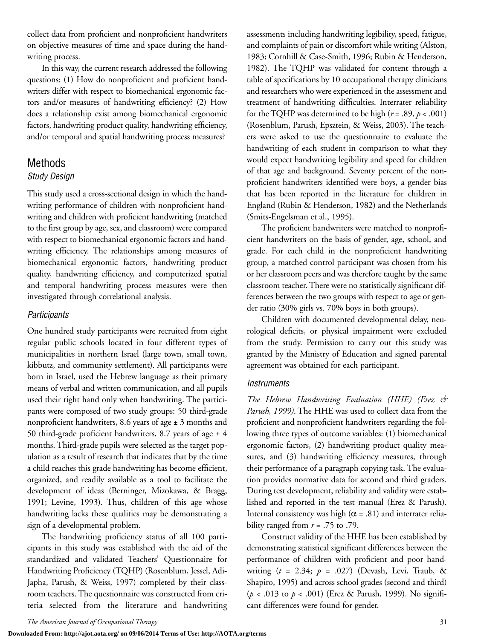collect data from proficient and nonproficient handwriters on objective measures of time and space during the handwriting process.

In this way, the current research addressed the following questions: (1) How do nonproficient and proficient handwriters differ with respect to biomechanical ergonomic factors and/or measures of handwriting efficiency? (2) How does a relationship exist among biomechanical ergonomic factors, handwriting product quality, handwriting efficiency, and/or temporal and spatial handwriting process measures?

## Methods

#### *Study Design*

This study used a cross-sectional design in which the handwriting performance of children with nonproficient handwriting and children with proficient handwriting (matched to the first group by age, sex, and classroom) were compared with respect to biomechanical ergonomic factors and handwriting efficiency. The relationships among measures of biomechanical ergonomic factors, handwriting product quality, handwriting efficiency, and computerized spatial and temporal handwriting process measures were then investigated through correlational analysis.

#### *Participants*

One hundred study participants were recruited from eight regular public schools located in four different types of municipalities in northern Israel (large town, small town, kibbutz, and community settlement). All participants were born in Israel, used the Hebrew language as their primary means of verbal and written communication, and all pupils used their right hand only when handwriting. The participants were composed of two study groups: 50 third-grade nonproficient handwriters, 8.6 years of age ± 3 months and 50 third-grade proficient handwriters, 8.7 years of age  $\pm$  4 months. Third-grade pupils were selected as the target population as a result of research that indicates that by the time a child reaches this grade handwriting has become efficient, organized, and readily available as a tool to facilitate the development of ideas (Berninger, Mizokawa, & Bragg, 1991; Levine, 1993). Thus, children of this age whose handwriting lacks these qualities may be demonstrating a sign of a developmental problem.

The handwriting proficiency status of all 100 participants in this study was established with the aid of the standardized and validated Teachers' Questionnaire for Handwriting Proficiency (TQHP) (Rosenblum, Jessel, Adi-Japha, Parush, & Weiss, 1997) completed by their classroom teachers. The questionnaire was constructed from criteria selected from the literature and handwriting assessments including handwriting legibility, speed, fatigue, and complaints of pain or discomfort while writing (Alston, 1983; Cornhill & Case-Smith, 1996; Rubin & Henderson, 1982). The TQHP was validated for content through a table of specifications by 10 occupational therapy clinicians and researchers who were experienced in the assessment and treatment of handwriting difficulties. Interrater reliability for the TQHP was determined to be high  $(r = .89, p < .001)$ (Rosenblum, Parush, Epsztein, & Weiss, 2003). The teachers were asked to use the questionnaire to evaluate the handwriting of each student in comparison to what they would expect handwriting legibility and speed for children of that age and background. Seventy percent of the nonproficient handwriters identified were boys, a gender bias that has been reported in the literature for children in England (Rubin & Henderson, 1982) and the Netherlands (Smits-Engelsman et al., 1995).

The proficient handwriters were matched to nonproficient handwriters on the basis of gender, age, school, and grade. For each child in the nonproficient handwriting group, a matched control participant was chosen from his or her classroom peers and was therefore taught by the same classroom teacher. There were no statistically significant differences between the two groups with respect to age or gender ratio (30% girls vs. 70% boys in both groups).

Children with documented developmental delay, neurological deficits, or physical impairment were excluded from the study. Permission to carry out this study was granted by the Ministry of Education and signed parental agreement was obtained for each participant.

#### *Instruments*

*The Hebrew Handwriting Evaluation (HHE) (Erez & Parush, 1999)*. The HHE was used to collect data from the proficient and nonproficient handwriters regarding the following three types of outcome variables: (1) biomechanical ergonomic factors, (2) handwriting product quality measures, and (3) handwriting efficiency measures, through their performance of a paragraph copying task. The evaluation provides normative data for second and third graders. During test development, reliability and validity were established and reported in the test manual (Erez & Parush). Internal consistency was high ( $\alpha$  = .81) and interrater reliability ranged from  $r = .75$  to .79.

Construct validity of the HHE has been established by demonstrating statistical significant differences between the performance of children with proficient and poor handwriting (*t* = 2.34; *p* = .027) (Devash, Levi, Traub, & Shapiro, 1995) and across school grades (second and third) (*p* < .013 to *p* < .001) (Erez & Parush, 1999). No significant differences were found for gender.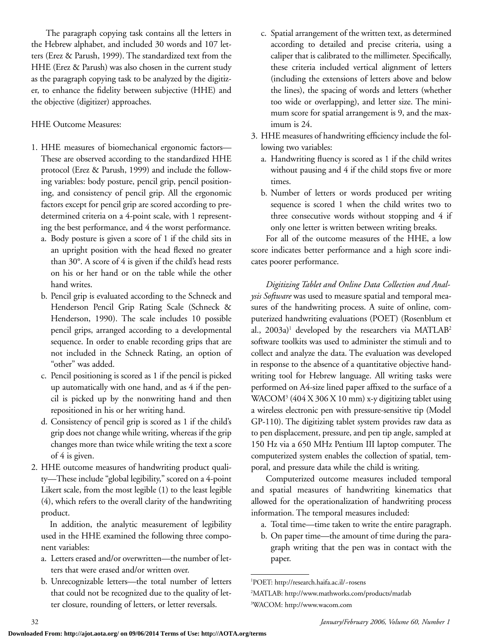The paragraph copying task contains all the letters in the Hebrew alphabet, and included 30 words and 107 letters (Erez & Parush, 1999). The standardized text from the HHE (Erez & Parush) was also chosen in the current study as the paragraph copying task to be analyzed by the digitizer, to enhance the fidelity between subjective (HHE) and the objective (digitizer) approaches.

### HHE Outcome Measures:

- 1. HHE measures of biomechanical ergonomic factors— These are observed according to the standardized HHE protocol (Erez & Parush, 1999) and include the following variables: body posture, pencil grip, pencil positioning, and consistency of pencil grip. All the ergonomic factors except for pencil grip are scored according to predetermined criteria on a 4-point scale, with 1 representing the best performance, and 4 the worst performance.
	- a. Body posture is given a score of 1 if the child sits in an upright position with the head flexed no greater than 30°. A score of 4 is given if the child's head rests on his or her hand or on the table while the other hand writes.
	- b. Pencil grip is evaluated according to the Schneck and Henderson Pencil Grip Rating Scale (Schneck & Henderson, 1990). The scale includes 10 possible pencil grips, arranged according to a developmental sequence. In order to enable recording grips that are not included in the Schneck Rating, an option of "other" was added.
	- c. Pencil positioning is scored as 1 if the pencil is picked up automatically with one hand, and as 4 if the pencil is picked up by the nonwriting hand and then repositioned in his or her writing hand.
	- d. Consistency of pencil grip is scored as 1 if the child's grip does not change while writing, whereas if the grip changes more than twice while writing the text a score of 4 is given.
- 2. HHE outcome measures of handwriting product quality—These include "global legibility," scored on a 4-point Likert scale, from the most legible (1) to the least legible (4), which refers to the overall clarity of the handwriting product.

In addition, the analytic measurement of legibility used in the HHE examined the following three component variables:

- a. Letters erased and/or overwritten—the number of letters that were erased and/or written over.
- b. Unrecognizable letters—the total number of letters that could not be recognized due to the quality of letter closure, rounding of letters, or letter reversals.
- c. Spatial arrangement of the written text, as determined according to detailed and precise criteria, using a caliper that is calibrated to the millimeter. Specifically, these criteria included vertical alignment of letters (including the extensions of letters above and below the lines), the spacing of words and letters (whether too wide or overlapping), and letter size. The minimum score for spatial arrangement is 9, and the maximum is 24.
- 3. HHE measures of handwriting efficiency include the following two variables:
	- a. Handwriting fluency is scored as 1 if the child writes without pausing and 4 if the child stops five or more times.
	- b. Number of letters or words produced per writing sequence is scored 1 when the child writes two to three consecutive words without stopping and 4 if only one letter is written between writing breaks.

For all of the outcome measures of the HHE, a low score indicates better performance and a high score indicates poorer performance.

*Digitizing Tablet and Online Data Collection and Analysis Software* was used to measure spatial and temporal measures of the handwriting process. A suite of online, computerized handwriting evaluations (POET) (Rosenblum et al.,  $2003a$ <sup>1</sup> developed by the researchers via MATLAB<sup>2</sup> software toolkits was used to administer the stimuli and to collect and analyze the data. The evaluation was developed in response to the absence of a quantitative objective handwriting tool for Hebrew language. All writing tasks were performed on A4-size lined paper affixed to the surface of a WACOM3 (404 X 306 X 10 mm) x-y digitizing tablet using a wireless electronic pen with pressure-sensitive tip (Model GP-110). The digitizing tablet system provides raw data as to pen displacement, pressure, and pen tip angle, sampled at 150 Hz via a 650 MHz Pentium III laptop computer. The computerized system enables the collection of spatial, temporal, and pressure data while the child is writing.

Computerized outcome measures included temporal and spatial measures of handwriting kinematics that allowed for the operationalization of handwriting process information. The temporal measures included:

- a. Total time—time taken to write the entire paragraph.
- b. On paper time—the amount of time during the paragraph writing that the pen was in contact with the paper.

<sup>1</sup> POET: http://research.haifa.ac.il/~rosens

<sup>2</sup> MATLAB: http://www.mathworks.com/products/matlab 3 WACOM: http://www.wacom.com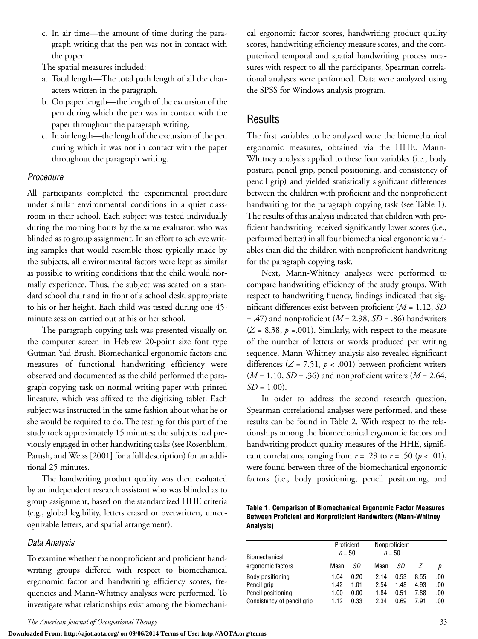c. In air time—the amount of time during the paragraph writing that the pen was not in contact with the paper.

The spatial measures included:

- a. Total length—The total path length of all the characters written in the paragraph.
- b. On paper length—the length of the excursion of the pen during which the pen was in contact with the paper throughout the paragraph writing.
- c. In air length—the length of the excursion of the pen during which it was not in contact with the paper throughout the paragraph writing.

#### *Procedure*

All participants completed the experimental procedure under similar environmental conditions in a quiet classroom in their school. Each subject was tested individually during the morning hours by the same evaluator, who was blinded as to group assignment. In an effort to achieve writing samples that would resemble those typically made by the subjects, all environmental factors were kept as similar as possible to writing conditions that the child would normally experience. Thus, the subject was seated on a standard school chair and in front of a school desk, appropriate to his or her height. Each child was tested during one 45 minute session carried out at his or her school.

The paragraph copying task was presented visually on the computer screen in Hebrew 20-point size font type Gutman Yad-Brush. Biomechanical ergonomic factors and measures of functional handwriting efficiency were observed and documented as the child performed the paragraph copying task on normal writing paper with printed lineature, which was affixed to the digitizing tablet. Each subject was instructed in the same fashion about what he or she would be required to do. The testing for this part of the study took approximately 15 minutes; the subjects had previously engaged in other handwriting tasks (see Rosenblum, Parush, and Weiss [2001] for a full description) for an additional 25 minutes.

The handwriting product quality was then evaluated by an independent research assistant who was blinded as to group assignment, based on the standardized HHE criteria (e.g., global legibility, letters erased or overwritten, unrecognizable letters, and spatial arrangement).

#### *Data Analysis*

To examine whether the nonproficient and proficient handwriting groups differed with respect to biomechanical ergonomic factor and handwriting efficiency scores, frequencies and Mann-Whitney analyses were performed. To investigate what relationships exist among the biomechanical ergonomic factor scores, handwriting product quality scores, handwriting efficiency measure scores, and the computerized temporal and spatial handwriting process measures with respect to all the participants, Spearman correlational analyses were performed. Data were analyzed using the SPSS for Windows analysis program.

## **Results**

The first variables to be analyzed were the biomechanical ergonomic measures, obtained via the HHE. Mann-Whitney analysis applied to these four variables (i.e., body posture, pencil grip, pencil positioning, and consistency of pencil grip) and yielded statistically significant differences between the children with proficient and the nonproficient handwriting for the paragraph copying task (see Table 1). The results of this analysis indicated that children with proficient handwriting received significantly lower scores (i.e., performed better) in all four biomechanical ergonomic variables than did the children with nonproficient handwriting for the paragraph copying task.

Next, Mann-Whitney analyses were performed to compare handwriting efficiency of the study groups. With respect to handwriting fluency, findings indicated that significant differences exist between proficient (*M* = 1.12, *SD* = .47) and nonproficient (*M* = 2.98, *SD* = .86) handwriters  $(Z = 8.38, p = .001)$ . Similarly, with respect to the measure of the number of letters or words produced per writing sequence, Mann-Whitney analysis also revealed significant differences  $(Z = 7.51, p < .001)$  between proficient writers (*M* = 1.10, *SD* = .36) and nonproficient writers (*M* = 2.64,  $SD = 1.00$ .

In order to address the second research question, Spearman correlational analyses were performed, and these results can be found in Table 2. With respect to the relationships among the biomechanical ergonomic factors and handwriting product quality measures of the HHE, significant correlations, ranging from  $r = .29$  to  $r = .50$  ( $p < .01$ ), were found between three of the biomechanical ergonomic factors (i.e., body positioning, pencil positioning, and

**Table 1. Comparison of Biomechanical Ergonomic Factor Measures Between Proficient and Nonproficient Handwriters (Mann-Whitney Analysis)**

| Biomechanical              | Proficient<br>$n = 50$ |      | Nonproficient<br>$n = 50$ |      |      |     |
|----------------------------|------------------------|------|---------------------------|------|------|-----|
| ergonomic factors          | Mean                   | SD   | Mean                      | SD   |      | р   |
| Body positioning           | 1.04                   | 0.20 | 2.14                      | 0.53 | 8.55 | .00 |
| Pencil grip                | 1.42                   | 1.01 | 2.54                      | 1.48 | 4.93 | .00 |
| Pencil positioning         | 1.00                   | 0.00 | 1.84                      | 0.51 | 7.88 | .00 |
| Consistency of pencil grip | 1.12                   | 0.33 | 2.34                      | 0.69 | 7 91 | .00 |

**Downloaded From: http://ajot.aota.org/ on 09/06/2014 Terms of Use: http://AOTA.org/terms**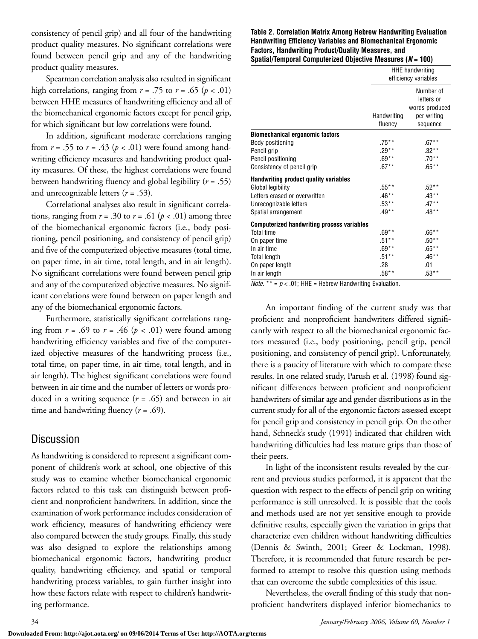consistency of pencil grip) and all four of the handwriting product quality measures. No significant correlations were found between pencil grip and any of the handwriting product quality measures.

Spearman correlation analysis also resulted in significant high correlations, ranging from  $r = .75$  to  $r = .65$  ( $p < .01$ ) between HHE measures of handwriting efficiency and all of the biomechanical ergonomic factors except for pencil grip, for which significant but low correlations were found.

In addition, significant moderate correlations ranging from  $r = .55$  to  $r = .43$  ( $p < .01$ ) were found among handwriting efficiency measures and handwriting product quality measures. Of these, the highest correlations were found between handwriting fluency and global legibility (*r* = .55) and unrecognizable letters (*r* = .53).

Correlational analyses also result in significant correlations, ranging from  $r = .30$  to  $r = .61$  ( $p < .01$ ) among three of the biomechanical ergonomic factors (i.e., body positioning, pencil positioning, and consistency of pencil grip) and five of the computerized objective measures (total time, on paper time, in air time, total length, and in air length). No significant correlations were found between pencil grip and any of the computerized objective measures. No significant correlations were found between on paper length and any of the biomechanical ergonomic factors.

Furthermore, statistically significant correlations ranging from  $r = .69$  to  $r = .46$  ( $p < .01$ ) were found among handwriting efficiency variables and five of the computerized objective measures of the handwriting process (i.e., total time, on paper time, in air time, total length, and in air length). The highest significant correlations were found between in air time and the number of letters or words produced in a writing sequence (*r* = .65) and between in air time and handwriting fluency (*r* = .69).

## Discussion

As handwriting is considered to represent a significant component of children's work at school, one objective of this study was to examine whether biomechanical ergonomic factors related to this task can distinguish between proficient and nonproficient handwriters. In addition, since the examination of work performance includes consideration of work efficiency, measures of handwriting efficiency were also compared between the study groups. Finally, this study was also designed to explore the relationships among biomechanical ergonomic factors, handwriting product quality, handwriting efficiency, and spatial or temporal handwriting process variables, to gain further insight into how these factors relate with respect to children's handwriting performance.

#### **Table 2. Correlation Matrix Among Hebrew Handwriting Evaluation Handwriting Efficiency Variables and Biomechanical Ergonomic Factors, Handwriting Product/Quality Measures, and Spatial/Temporal Computerized Objective Measures (***N* **= 100)**

|                                                   | <b>HHE</b> handwriting<br>efficiency variables |                                                                      |  |
|---------------------------------------------------|------------------------------------------------|----------------------------------------------------------------------|--|
|                                                   | Handwriting<br>fluency                         | Number of<br>letters or<br>words produced<br>per writing<br>sequence |  |
| <b>Biomechanical ergonomic factors</b>            |                                                |                                                                      |  |
| Body positioning                                  | $.75***$                                       | $.67***$                                                             |  |
| Pencil grip                                       | $.29***$                                       | $.32***$                                                             |  |
| Pencil positioning                                | $.69**$                                        | $.70**$                                                              |  |
| Consistency of pencil grip                        | $.67**$                                        | $.65**$                                                              |  |
| Handwriting product quality variables             |                                                |                                                                      |  |
| Global legibility                                 | $.55***$                                       | $.52**$                                                              |  |
| Letters erased or overwritten                     | $.46**$                                        | $.43**$                                                              |  |
| Unrecognizable letters                            | $.53**$                                        | $.47***$                                                             |  |
| Spatial arrangement                               | $.49**$                                        | $.48**$                                                              |  |
| <b>Computerized handwriting process variables</b> |                                                |                                                                      |  |
| Total time                                        | $.69**$                                        | $.66**$                                                              |  |
| On paper time                                     | $.51**$                                        | $.50**$                                                              |  |
| In air time                                       | $.69**$                                        | $.65***$                                                             |  |
| <b>Total length</b>                               | $.51***$                                       | $.46**$                                                              |  |
| On paper length                                   | .28                                            | .01                                                                  |  |
| In air length                                     | $.58**$                                        | $.53**$                                                              |  |

*Note.* \*\* =  $p$  < .01; HHE = Hebrew Handwriting Evaluation.

An important finding of the current study was that proficient and nonproficient handwriters differed significantly with respect to all the biomechanical ergonomic factors measured (i.e., body positioning, pencil grip, pencil positioning, and consistency of pencil grip). Unfortunately, there is a paucity of literature with which to compare these results. In one related study, Parush et al. (1998) found significant differences between proficient and nonproficient handwriters of similar age and gender distributions as in the current study for all of the ergonomic factors assessed except for pencil grip and consistency in pencil grip. On the other hand, Schneck's study (1991) indicated that children with handwriting difficulties had less mature grips than those of their peers.

In light of the inconsistent results revealed by the current and previous studies performed, it is apparent that the question with respect to the effects of pencil grip on writing performance is still unresolved. It is possible that the tools and methods used are not yet sensitive enough to provide definitive results, especially given the variation in grips that characterize even children without handwriting difficulties (Dennis & Swinth, 2001; Greer & Lockman, 1998). Therefore, it is recommended that future research be performed to attempt to resolve this question using methods that can overcome the subtle complexities of this issue.

Nevertheless, the overall finding of this study that nonproficient handwriters displayed inferior biomechanics to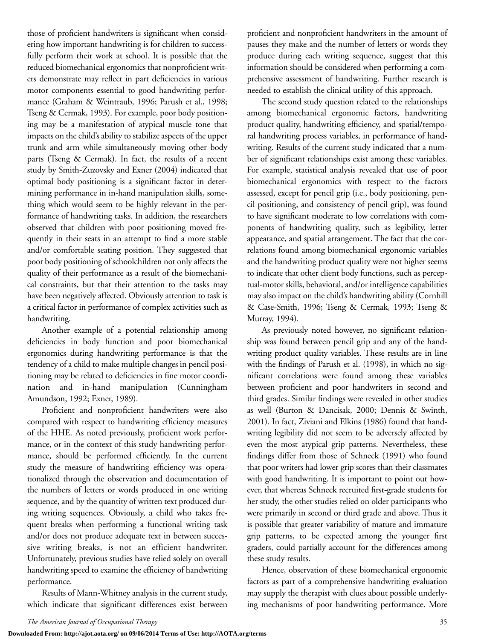those of proficient handwriters is significant when considering how important handwriting is for children to successfully perform their work at school. It is possible that the reduced biomechanical ergonomics that nonproficient writers demonstrate may reflect in part deficiencies in various motor components essential to good handwriting performance (Graham & Weintraub, 1996; Parush et al., 1998; Tseng & Cermak, 1993). For example, poor body positioning may be a manifestation of atypical muscle tone that impacts on the child's ability to stabilize aspects of the upper trunk and arm while simultaneously moving other body parts (Tseng & Cermak). In fact, the results of a recent study by Smith-Zuzovsky and Exner (2004) indicated that optimal body positioning is a significant factor in determining performance in in-hand manipulation skills, something which would seem to be highly relevant in the performance of handwriting tasks. In addition, the researchers observed that children with poor positioning moved frequently in their seats in an attempt to find a more stable and/or comfortable seating position. They suggested that poor body positioning of schoolchildren not only affects the quality of their performance as a result of the biomechanical constraints, but that their attention to the tasks may have been negatively affected. Obviously attention to task is a critical factor in performance of complex activities such as handwriting.

Another example of a potential relationship among deficiencies in body function and poor biomechanical ergonomics during handwriting performance is that the tendency of a child to make multiple changes in pencil positioning may be related to deficiencies in fine motor coordination and in-hand manipulation (Cunningham Amundson, 1992; Exner, 1989).

Proficient and nonproficient handwriters were also compared with respect to handwriting efficiency measures of the HHE. As noted previously, proficient work performance, or in the context of this study handwriting performance, should be performed efficiently. In the current study the measure of handwriting efficiency was operationalized through the observation and documentation of the numbers of letters or words produced in one writing sequence, and by the quantity of written text produced during writing sequences. Obviously, a child who takes frequent breaks when performing a functional writing task and/or does not produce adequate text in between successive writing breaks, is not an efficient handwriter. Unfortunately, previous studies have relied solely on overall handwriting speed to examine the efficiency of handwriting performance.

Results of Mann-Whitney analysis in the current study, which indicate that significant differences exist between proficient and nonproficient handwriters in the amount of pauses they make and the number of letters or words they produce during each writing sequence, suggest that this information should be considered when performing a comprehensive assessment of handwriting. Further research is needed to establish the clinical utility of this approach.

The second study question related to the relationships among biomechanical ergonomic factors, handwriting product quality, handwriting efficiency, and spatial/temporal handwriting process variables, in performance of handwriting. Results of the current study indicated that a number of significant relationships exist among these variables. For example, statistical analysis revealed that use of poor biomechanical ergonomics with respect to the factors assessed, except for pencil grip (i.e., body positioning, pencil positioning, and consistency of pencil grip), was found to have significant moderate to low correlations with components of handwriting quality, such as legibility, letter appearance, and spatial arrangement. The fact that the correlations found among biomechanical ergonomic variables and the handwriting product quality were not higher seems to indicate that other client body functions, such as perceptual-motor skills, behavioral, and/or intelligence capabilities may also impact on the child's handwriting ability (Cornhill & Case-Smith, 1996; Tseng & Cermak, 1993; Tseng & Murray, 1994).

As previously noted however, no significant relationship was found between pencil grip and any of the handwriting product quality variables. These results are in line with the findings of Parush et al. (1998), in which no significant correlations were found among these variables between proficient and poor handwriters in second and third grades. Similar findings were revealed in other studies as well (Burton & Dancisak, 2000; Dennis & Swinth, 2001). In fact, Ziviani and Elkins (1986) found that handwriting legibility did not seem to be adversely affected by even the most atypical grip patterns. Nevertheless, these findings differ from those of Schneck (1991) who found that poor writers had lower grip scores than their classmates with good handwriting. It is important to point out however, that whereas Schneck recruited first-grade students for her study, the other studies relied on older participants who were primarily in second or third grade and above. Thus it is possible that greater variability of mature and immature grip patterns, to be expected among the younger first graders, could partially account for the differences among these study results.

Hence, observation of these biomechanical ergonomic factors as part of a comprehensive handwriting evaluation may supply the therapist with clues about possible underlying mechanisms of poor handwriting performance. More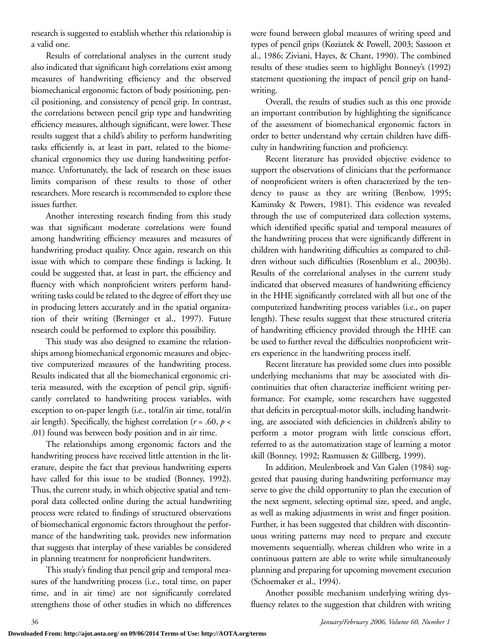research is suggested to establish whether this relationship is a valid one.

Results of correlational analyses in the current study also indicated that significant high correlations exist among measures of handwriting efficiency and the observed biomechanical ergonomic factors of body positioning, pencil positioning, and consistency of pencil grip. In contrast, the correlations between pencil grip type and handwriting efficiency measures, although significant, were lower. These results suggest that a child's ability to perform handwriting tasks efficiently is, at least in part, related to the biomechanical ergonomics they use during handwriting performance. Unfortunately, the lack of research on these issues limits comparison of these results to those of other researchers. More research is recommended to explore these issues further.

Another interesting research finding from this study was that significant moderate correlations were found among handwriting efficiency measures and measures of handwriting product quality. Once again, research on this issue with which to compare these findings is lacking. It could be suggested that, at least in part, the efficiency and fluency with which nonproficient writers perform handwriting tasks could be related to the degree of effort they use in producing letters accurately and in the spatial organization of their writing (Berninger et al., 1997). Future research could be performed to explore this possibility.

This study was also designed to examine the relationships among biomechanical ergonomic measures and objective computerized measures of the handwriting process. Results indicated that all the biomechanical ergonomic criteria measured, with the exception of pencil grip, significantly correlated to handwriting process variables, with exception to on-paper length (i.e., total/in air time, total/in air length). Specifically, the highest correlation ( $r = .60$ ,  $p <$ .01) found was between body position and in air time.

The relationships among ergonomic factors and the handwriting process have received little attention in the literature, despite the fact that previous handwriting experts have called for this issue to be studied (Bonney, 1992). Thus, the current study, in which objective spatial and temporal data collected online during the actual handwriting process were related to findings of structured observations of biomechanical ergonomic factors throughout the performance of the handwriting task, provides new information that suggests that interplay of these variables be considered in planning treatment for nonproficient handwriters.

This study's finding that pencil grip and temporal measures of the handwriting process (i.e., total time, on paper time, and in air time) are not significantly correlated strengthens those of other studies in which no differences were found between global measures of writing speed and types of pencil grips (Koziatek & Powell, 2003; Sassoon et al., 1986; Ziviani, Hayes, & Chant, 1990). The combined results of these studies seem to highlight Bonney's (1992) statement questioning the impact of pencil grip on handwriting.

Overall, the results of studies such as this one provide an important contribution by highlighting the significance of the assessment of biomechanical ergonomic factors in order to better understand why certain children have difficulty in handwriting function and proficiency.

Recent literature has provided objective evidence to support the observations of clinicians that the performance of nonproficient writers is often characterized by the tendency to pause as they are writing (Benbow, 1995; Kaminsky & Powers, 1981). This evidence was revealed through the use of computerized data collection systems, which identified specific spatial and temporal measures of the handwriting process that were significantly different in children with handwriting difficulties as compared to children without such difficulties (Rosenblum et al., 2003b). Results of the correlational analyses in the current study indicated that observed measures of handwriting efficiency in the HHE significantly correlated with all but one of the computerized handwriting process variables (i.e., on paper length). These results suggest that these structured criteria of handwriting efficiency provided through the HHE can be used to further reveal the difficulties nonproficient writers experience in the handwriting process itself.

Recent literature has provided some clues into possible underlying mechanisms that may be associated with discontinuities that often characterize inefficient writing performance. For example, some researchers have suggested that deficits in perceptual-motor skills, including handwriting, are associated with deficiencies in children's ability to perform a motor program with little conscious effort, referred to as the automatization stage of learning a motor skill (Bonney, 1992; Rasmussen & Gillberg, 1999).

In addition, Meulenbroek and Van Galen (1984) suggested that pausing during handwriting performance may serve to give the child opportunity to plan the execution of the next segment, selecting optimal size, speed, and angle, as well as making adjustments in wrist and finger position. Further, it has been suggested that children with discontinuous writing patterns may need to prepare and execute movements sequentially, whereas children who write in a continuous pattern are able to write while simultaneously planning and preparing for upcoming movement execution (Schoemaker et al., 1994).

Another possible mechanism underlying writing dysfluency relates to the suggestion that children with writing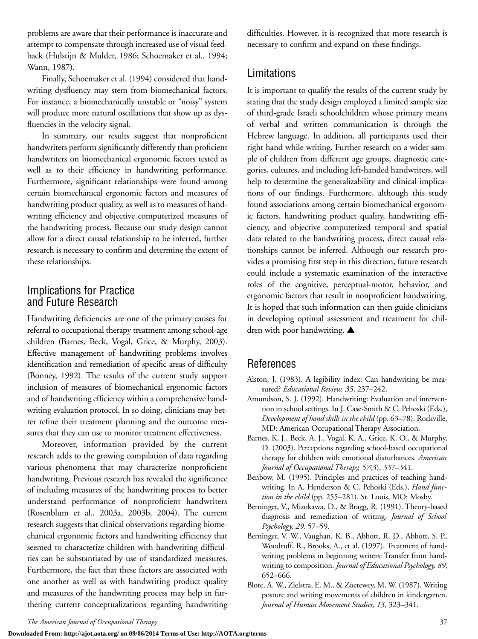problems are aware that their performance is inaccurate and attempt to compensate through increased use of visual feedback (Hulstijn & Mulder, 1986; Schoemaker et al., 1994; Wann, 1987).

Finally, Schoemaker et al. (1994) considered that handwriting dysfluency may stem from biomechanical factors. For instance, a biomechanically unstable or "noisy" system will produce more natural oscillations that show up as dysfluencies in the velocity signal.

In summary, our results suggest that nonproficient handwriters perform significantly differently than proficient handwriters on biomechanical ergonomic factors tested as well as to their efficiency in handwriting performance. Furthermore, significant relationships were found among certain biomechanical ergonomic factors and measures of handwriting product quality, as well as to measures of handwriting efficiency and objective computerized measures of the handwriting process. Because our study design cannot allow for a direct causal relationship to be inferred, further research is necessary to confirm and determine the extent of these relationships.

## Implications for Practice and Future Research

Handwriting deficiencies are one of the primary causes for referral to occupational therapy treatment among school-age children (Barnes, Beck, Vogal, Grice, & Murphy, 2003). Effective management of handwriting problems involves identification and remediation of specific areas of difficulty (Bonney, 1992). The results of the current study support inclusion of measures of biomechanical ergonomic factors and of handwriting efficiency within a comprehensive handwriting evaluation protocol. In so doing, clinicians may better refine their treatment planning and the outcome measures that they can use to monitor treatment effectiveness.

Moreover, information provided by the current research adds to the growing compilation of data regarding various phenomena that may characterize nonproficient handwriting. Previous research has revealed the significance of including measures of the handwriting process to better understand performance of nonproficient handwriters (Rosenblum et al., 2003a, 2003b, 2004). The current research suggests that clinical observations regarding biomechanical ergonomic factors and handwriting efficiency that seemed to characterize children with handwriting difficulties can be substantiated by use of standardized measures. Furthermore, the fact that these factors are associated with one another as well as with handwriting product quality and measures of the handwriting process may help in furthering current conceptualizations regarding handwriting difficulties. However, it is recognized that more research is necessary to confirm and expand on these findings.

## Limitations

It is important to qualify the results of the current study by stating that the study design employed a limited sample size of third-grade Israeli schoolchildren whose primary means of verbal and written communication is through the Hebrew language. In addition, all participants used their right hand while writing. Further research on a wider sample of children from different age groups, diagnostic categories, cultures, and including left-handed handwriters, will help to determine the generalizability and clinical implications of our findings. Furthermore, although this study found associations among certain biomechanical ergonomic factors, handwriting product quality, handwriting efficiency, and objective computerized temporal and spatial data related to the handwriting process, direct causal relationships cannot be inferred. Although our research provides a promising first step in this direction, future research could include a systematic examination of the interactive roles of the cognitive, perceptual-motor, behavior, and ergonomic factors that result in nonproficient handwriting. It is hoped that such information can then guide clinicians in developing optimal assessment and treatment for children with poor handwriting. **▲**

## References

- Alston, J. (1983). A legibility index: Can handwriting be measured? *Educational Review, 35*, 237–242.
- Amundson, S. J. (1992). Handwriting: Evaluation and intervention in school settings. In J. Case-Smith & C. Pehoski (Eds.), *Development of hand skills in the child* (pp. 63–78). Rockville, MD: American Occupational Therapy Association.
- Barnes, K. J., Beck, A. J., Vogal, K. A., Grice, K. O., & Murphy, D. (2003). Perceptions regarding school-based occupational therapy for children with emotional disturbances. *American Journal of Occupational Therapy, 57*(3), 337–341.
- Benbow, M. (1995). Principles and practices of teaching handwriting. In A. Henderson & C. Pehoski (Eds.), *Hand function in the child* (pp. 255–281)*.* St. Louis, MO: Mosby.
- Berninger, V., Mizokawa, D., & Bragg, R. (1991). Theory-based diagnosis and remediation of writing. *Journal of School Psychology, 29,* 57–59.
- Berninger, V. W., Vaughan, K. B., Abbott, R. D., Abbott, S. P., Woodruff, R., Brooks, A., et al. (1997). Treatment of handwriting problems in beginning writers: Transfer from handwriting to composition. *Journal of Educational Psychology, 89*, 652–666.
- Blote, A. W., Zielstra, E. M., & Zoetewey, M. W. (1987). Writing posture and writing movements of children in kindergarten. *Journal of Human Movement Studies, 13,* 323–341.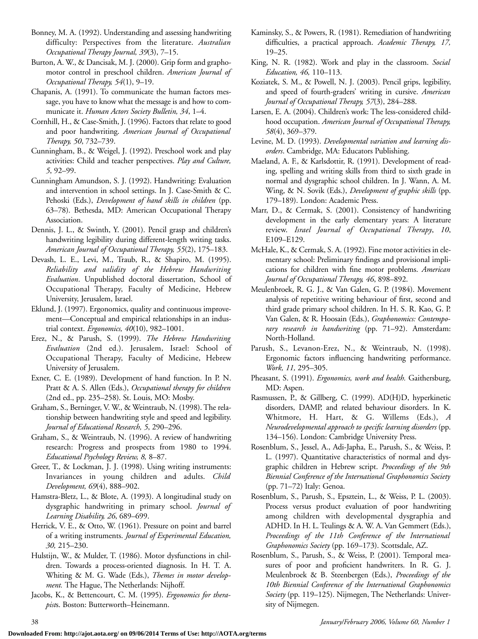- Bonney, M. A. (1992). Understanding and assessing handwriting difficulty: Perspectives from the literature. *Australian Occupational Therapy Journal, 39*(3), 7–15.
- Burton, A. W., & Dancisak, M. J. (2000). Grip form and graphomotor control in preschool children. *American Journal of Occupational Therapy, 54*(1), 9–19.
- Chapanis, A. (1991). To communicate the human factors message, you have to know what the message is and how to communicate it. *Human Actors Society Bulletin, 34*, 1–4.
- Cornhill, H., & Case-Smith, J. (1996). Factors that relate to good and poor handwriting. *American Journal of Occupational Therapy, 50*, 732–739.
- Cunningham, B., & Weigel, J. (1992). Preschool work and play activities: Child and teacher perspectives. *Play and Culture, 5*, 92–99.
- Cunningham Amundson, S. J. (1992). Handwriting: Evaluation and intervention in school settings. In J. Case-Smith & C. Pehoski (Eds.), *Development of hand skills in children* (pp. 63–78). Bethesda, MD: American Occupational Therapy Association.
- Dennis, J. L., & Swinth, Y. (2001). Pencil grasp and children's handwriting legibility during different-length writing tasks. *American Journal of Occupational Therapy, 55*(2), 175–183.
- Devash, L. E., Levi, M., Traub, R., & Shapiro, M. (1995). *Reliability and validity of the Hebrew Handwriting Evaluation*. Unpublished doctoral dissertation, School of Occupational Therapy, Faculty of Medicine, Hebrew University, Jerusalem, Israel.
- Eklund, J. (1997). Ergonomics, quality and continuous improvement—Conceptual and empirical relationships in an industrial context. *Ergonomics, 40*(10), 982–1001.
- Erez, N., & Parush, S. (1999). *The Hebrew Handwriting Evaluation* (2nd ed.). Jerusalem, Israel: School of Occupational Therapy, Faculty of Medicine, Hebrew University of Jerusalem.
- Exner, C. E. (1989). Development of hand function. In P. N. Pratt & A. S. Allen (Eds.), *Occupational therapy for children* (2nd ed., pp. 235–258). St. Louis, MO: Mosby.
- Graham, S., Berninger, V. W., & Weintraub, N. (1998). The relationship between handwriting style and speed and legibility. *Journal of Educational Research, 5*, 290–296.
- Graham, S., & Weintraub, N. (1996). A review of handwriting research: Progress and prospects from 1980 to 1994. *Educational Psychology Review, 8,* 8–87.
- Greer, T., & Lockman, J. J. (1998). Using writing instruments: Invariances in young children and adults. *Child Development, 69*(4), 888–902.
- Hamstra-Bletz, L., & Blote, A. (1993). A longitudinal study on dysgraphic handwriting in primary school. *Journal of Learning Disability, 26*, 689–699.
- Herrick, V. E., & Otto, W. (1961). Pressure on point and barrel of a writing instruments. *Journal of Experimental Education, 30,* 215–230.
- Hulstijn, W., & Mulder, T. (1986). Motor dysfunctions in children. Towards a process-oriented diagnosis. In H. T. A. Whiting & M. G. Wade (Eds.), *Themes in motor development.* The Hague, The Netherlands: Nijhoff.
- Jacobs, K., & Bettencourt, C. M. (1995). *Ergonomics for therapist*s. Boston: Butterworth–Heinemann.
- Kaminsky, S., & Powers, R. (1981). Remediation of handwriting difficulties, a practical approach. *Academic Therapy, 17,* 19–25.
- King, N. R. (1982). Work and play in the classroom. *Social Education, 46,* 110–113.
- Koziatek, S. M., & Powell, N. J. (2003). Pencil grips, legibility, and speed of fourth-graders' writing in cursive. *American Journal of Occupational Therapy, 57*(3), 284–288.
- Larsen, E. A. (2004). Children's work: The less-considered childhood occupation. *American Journal of Occupational Therapy, 58*(4), 369–379.
- Levine, M. D. (1993). *Developmental variation and learning disorders*. Cambridge, MA: Educators Publishing.
- Maeland, A. F., & Karlsdottir, R. (1991). Development of reading, spelling and writing skills from third to sixth grade in normal and dysgraphic school children. In J. Wann, A. M. Wing, & N. Sovik (Eds.), *Development of graphic skills* (pp. 179–189). London: Academic Press.
- Marr, D., & Cermak, S. (2001). Consistency of handwriting development in the early elementary years: A literature review. *Israel Journal of Occupational Therapy*, *10*, E109–E129.
- McHale, K., & Cermak, S. A. (1992). Fine motor activities in elementary school: Preliminary findings and provisional implications for children with fine motor problems. *American Journal of Occupational Therapy, 46*, 898–892.
- Meulenbroek, R. G. J., & Van Galen, G. P. (1984). Movement analysis of repetitive writing behaviour of first, second and third grade primary school children. In H. S. R. Kao, G. P. Van Galen, & R. Hoosain (Eds.), *Graphonomics: Contemporary research in handwriting* (pp. 71–92). Amsterdam: North-Holland.
- Parush, S., Levanon-Erez, N., & Weintraub, N. (1998). Ergonomic factors influencing handwriting performance. *Work, 11,* 295–305.
- Pheasant, S. (1991). *Ergonomics, work and health.* Gaithersburg, MD: Aspen.
- Rasmussen, P., & Gillberg, C. (1999). AD(H)D, hyperkinetic disorders, DAMP, and related behaviour disorders. In K. Whitmore, H. Hart, & G. Willems (Eds.), *A Neurodevelopmental approach to specific learning disorders* (pp. 134–156). London: Cambridge University Press.
- Rosenblum, S., Jessel, A., Adi-Japha, E., Parush, S., & Weiss, P. L. (1997). Quantitative characteristics of normal and dysgraphic children in Hebrew script. *Proceedings of the 9th Biennial Conference of the International Graphonomics Society* (pp. 71–72) Italy: Genoa.
- Rosenblum, S., Parush, S., Epsztein, L., & Weiss, P. L. (2003). Process versus product evaluation of poor handwriting among children with developmental dysgraphia and ADHD. In H. L. Teulings & A. W. A. Van Gemmert (Eds.), *Proceedings of the 11th Conference of the International Graphonomics Society* (pp. 169–173). Scottsdale, AZ.
- Rosenblum, S., Parush, S., & Weiss, P. (2001). Temporal measures of poor and proficient handwriters. In R. G. J. Meulenbroek & B. Steenbergen (Eds.), *Proceedings of the 10th Biennial Conference of the International Graphonomics Society* (pp. 119–125). Nijmegen, The Netherlands: University of Nijmegen.